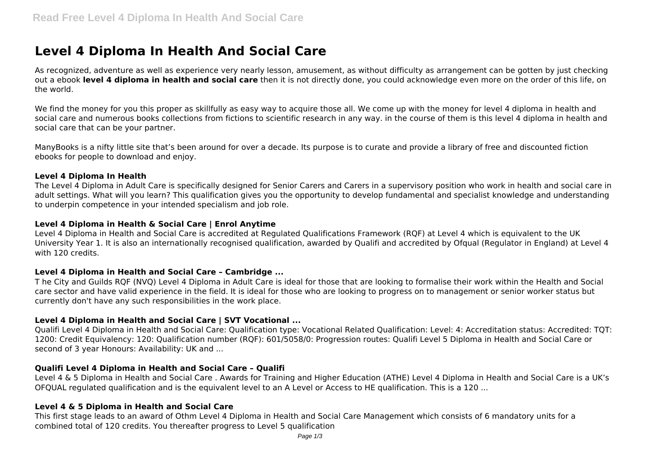# **Level 4 Diploma In Health And Social Care**

As recognized, adventure as well as experience very nearly lesson, amusement, as without difficulty as arrangement can be gotten by just checking out a ebook **level 4 diploma in health and social care** then it is not directly done, you could acknowledge even more on the order of this life, on the world.

We find the money for you this proper as skillfully as easy way to acquire those all. We come up with the money for level 4 diploma in health and social care and numerous books collections from fictions to scientific research in any way. in the course of them is this level 4 diploma in health and social care that can be your partner.

ManyBooks is a nifty little site that's been around for over a decade. Its purpose is to curate and provide a library of free and discounted fiction ebooks for people to download and enjoy.

#### **Level 4 Diploma In Health**

The Level 4 Diploma in Adult Care is specifically designed for Senior Carers and Carers in a supervisory position who work in health and social care in adult settings. What will you learn? This qualification gives you the opportunity to develop fundamental and specialist knowledge and understanding to underpin competence in your intended specialism and job role.

#### **Level 4 Diploma in Health & Social Care | Enrol Anytime**

Level 4 Diploma in Health and Social Care is accredited at Regulated Qualifications Framework (RQF) at Level 4 which is equivalent to the UK University Year 1. It is also an internationally recognised qualification, awarded by Qualifi and accredited by Ofqual (Regulator in England) at Level 4 with 120 credits.

## **Level 4 Diploma in Health and Social Care – Cambridge ...**

T he City and Guilds RQF (NVQ) Level 4 Diploma in Adult Care is ideal for those that are looking to formalise their work within the Health and Social care sector and have valid experience in the field. It is ideal for those who are looking to progress on to management or senior worker status but currently don't have any such responsibilities in the work place.

## **Level 4 Diploma in Health and Social Care | SVT Vocational ...**

Qualifi Level 4 Diploma in Health and Social Care: Qualification type: Vocational Related Qualification: Level: 4: Accreditation status: Accredited: TQT: 1200: Credit Equivalency: 120: Qualification number (RQF): 601/5058/0: Progression routes: Qualifi Level 5 Diploma in Health and Social Care or second of 3 year Honours: Availability: UK and ...

## **Qualifi Level 4 Diploma in Health and Social Care – Qualifi**

Level 4 & 5 Diploma in Health and Social Care . Awards for Training and Higher Education (ATHE) Level 4 Diploma in Health and Social Care is a UK's OFQUAL regulated qualification and is the equivalent level to an A Level or Access to HE qualification. This is a 120 ...

## **Level 4 & 5 Diploma in Health and Social Care**

This first stage leads to an award of Othm Level 4 Diploma in Health and Social Care Management which consists of 6 mandatory units for a combined total of 120 credits. You thereafter progress to Level 5 qualification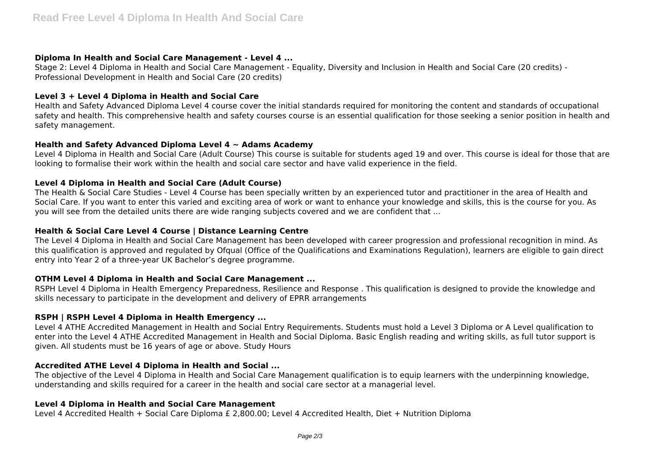## **Diploma In Health and Social Care Management - Level 4 ...**

Stage 2: Level 4 Diploma in Health and Social Care Management - Equality, Diversity and Inclusion in Health and Social Care (20 credits) - Professional Development in Health and Social Care (20 credits)

# **Level 3 + Level 4 Diploma in Health and Social Care**

Health and Safety Advanced Diploma Level 4 course cover the initial standards required for monitoring the content and standards of occupational safety and health. This comprehensive health and safety courses course is an essential qualification for those seeking a senior position in health and safety management.

## **Health and Safety Advanced Diploma Level 4 ~ Adams Academy**

Level 4 Diploma in Health and Social Care (Adult Course) This course is suitable for students aged 19 and over. This course is ideal for those that are looking to formalise their work within the health and social care sector and have valid experience in the field.

# **Level 4 Diploma in Health and Social Care (Adult Course)**

The Health & Social Care Studies - Level 4 Course has been specially written by an experienced tutor and practitioner in the area of Health and Social Care. If you want to enter this varied and exciting area of work or want to enhance your knowledge and skills, this is the course for you. As you will see from the detailed units there are wide ranging subjects covered and we are confident that ...

## **Health & Social Care Level 4 Course | Distance Learning Centre**

The Level 4 Diploma in Health and Social Care Management has been developed with career progression and professional recognition in mind. As this qualification is approved and regulated by Ofqual (Office of the Qualifications and Examinations Regulation), learners are eligible to gain direct entry into Year 2 of a three-year UK Bachelor's degree programme.

# **OTHM Level 4 Diploma in Health and Social Care Management ...**

RSPH Level 4 Diploma in Health Emergency Preparedness, Resilience and Response . This qualification is designed to provide the knowledge and skills necessary to participate in the development and delivery of EPRR arrangements

# **RSPH | RSPH Level 4 Diploma in Health Emergency ...**

Level 4 ATHE Accredited Management in Health and Social Entry Requirements. Students must hold a Level 3 Diploma or A Level qualification to enter into the Level 4 ATHE Accredited Management in Health and Social Diploma. Basic English reading and writing skills, as full tutor support is given. All students must be 16 years of age or above. Study Hours

# **Accredited ATHE Level 4 Diploma in Health and Social ...**

The objective of the Level 4 Diploma in Health and Social Care Management qualification is to equip learners with the underpinning knowledge, understanding and skills required for a career in the health and social care sector at a managerial level.

## **Level 4 Diploma in Health and Social Care Management**

Level 4 Accredited Health + Social Care Diploma £ 2,800.00; Level 4 Accredited Health, Diet + Nutrition Diploma